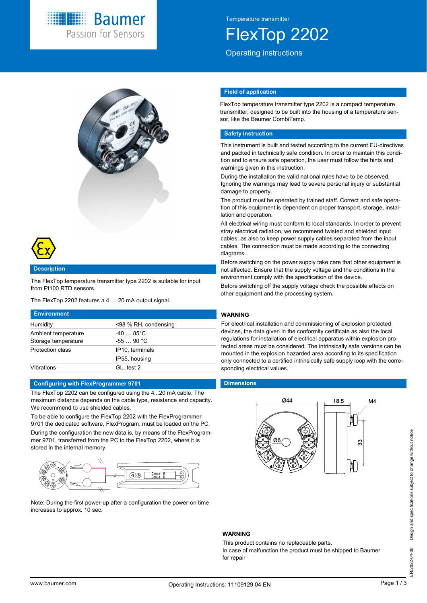

Temperature transmitter

FlexTop 2202

Operating instructions



#### **Description**

The FlexTop temperature transmitter type 2202 is suitable for input from Pt100 RTD sensors.

The FlexTop 2202 features a 4 … 20 mA output signal.

| <b>Environment</b>      |                      |
|-------------------------|----------------------|
| Humidity                | <98 % RH, condensing |
| Ambient temperature     | $-4085^{\circ}$ C    |
| Storage temperature     | $-5590 °C$           |
| <b>Protection class</b> | IP10, terminals      |
|                         | IP55, housing        |
| Vibrations              | GL, test 2           |

#### **Configuring with FlexProgrammer 9701**

The FlexTop 2202 can be configured using the 4...20 mA cable. The maximum distance depends on the cable type, resistance and capacity. We recommend to use shielded cables.

To be able to configure the FlexTop 2202 with the FlexProgrammer 9701 the dedicated software, FlexProgram, must be loaded on the PC. During the configuration the new data is, by means of the FlexProgrammer 9701, transferred from the PC to the FlexTop 2202, where it is stored in the internal memory.



Note: During the first power-up after a configuration the power-on time increases to approx. 10 sec.

#### **Field of application**

FlexTop temperature transmitter type 2202 is a compact temperature transmitter, designed to be built into the housing of a temperature sensor, like the Baumer CombiTemp.

## **Safety instruction**

This instrument is built and tested according to the current EU-directives and packed in technically safe condition. In order to maintain this condition and to ensure safe operation, the user must follow the hints and warnings given in this instruction.

During the installation the valid national rules have to be observed. Ignoring the warnings may lead to severe personal injury or substantial damage to property.

The product must be operated by trained staff. Correct and safe operation of this equipment is dependent on proper transport, storage, installation and operation.

All electrical wiring must conform to local standards. In order to prevent stray electrical radiation, we recommend twisted and shielded input cables, as also to keep power supply cables separated from the input cables. The connection must be made according to the connecting diagrams.

Before switching on the power supply take care that other equipment is not affected. Ensure that the supply voltage and the conditions in the environment comply with the specification of the device.

Before switching off the supply voltage check the possible effects on other equipment and the processing system.

# **WARNING**

For electrical installation and commissioning of explosion protected devices, the data given in the conformity certificate as also the local regulations for installation of electrical apparatus within explosion protected areas must be considered. The intrinsically safe versions can be mounted in the explosion hazarded area according to its specification only connected to a certified intrinsically safe supply loop with the corresponding electrical values.

#### **Dimensions**



### **WARNING**

This product contains no replaceable parts.

In case of malfunction the product must be shipped to Baumer for repair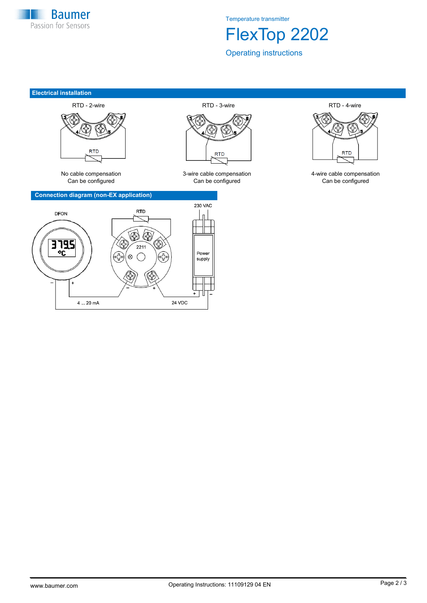

Temperature transmitter

FlexTop 2202

Operating instructions

#### **Electrical installation**



#### **Connection diagram (non-EX application)**





Can be configured Can be configured Can be configured



No cable compensation 3-wire cable compensation 4-wire cable compensation